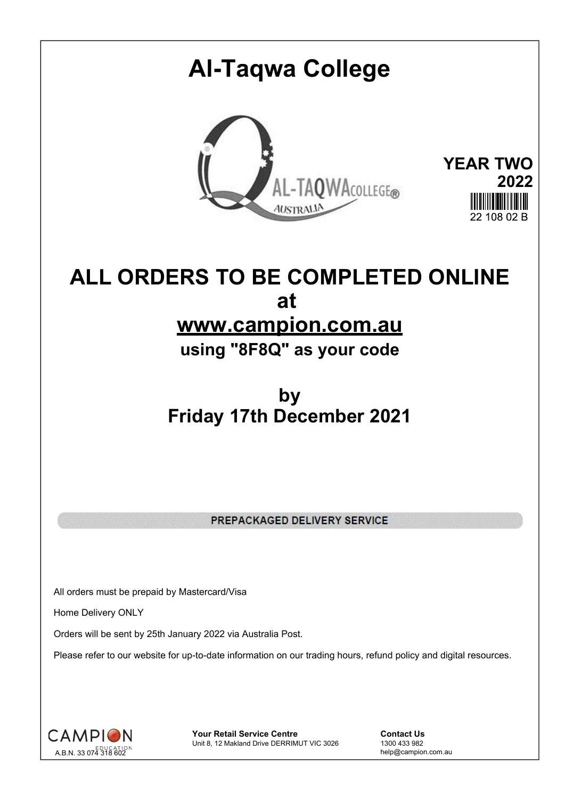## **Al-Taqwa College YEAR TWO** AL-TAQWACOLLEGE® **2022 AUSTRALIA**  $22,408,02, \mathbb{R}$

## **ALL ORDERS TO BE COMPLETED ONLINE at www.campion.com.au**

**using "8F8Q" as your code**

## **by Friday 17th December 2021**

PREPACKAGED DELIVERY SERVICE

All orders must be prepaid by Mastercard/Visa

Home Delivery ONLY

Orders will be sent by 25th January 2022 via Australia Post.

Please refer to our website for up-to-date information on our trading hours, refund policy and digital resources.



**Your Retail Service Centre Contact Us**<br>
Unit 8, 12 Makland Drive DERRIMUT VIC 3026
1300 433 982 Unit 8, 12 Makland Drive DERRIMUT VIC 3026

help@campion.com.au